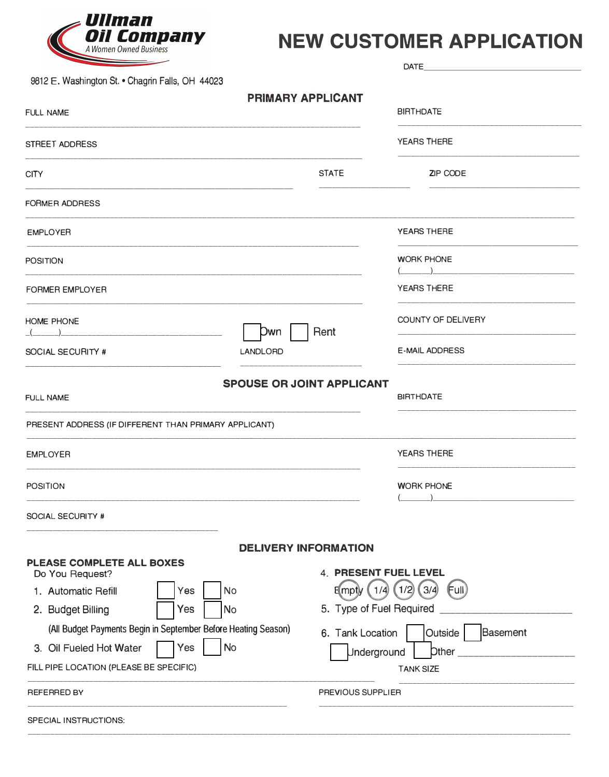

## **NEW CUSTOMER APPLICATION**

|                                                                |                                  | <b>DATE</b>                       |  |  |
|----------------------------------------------------------------|----------------------------------|-----------------------------------|--|--|
| 9812 E. Washington St. . Chagrin Falls, OH 44023               | <b>PRIMARY APPLICANT</b>         |                                   |  |  |
| <b>FULL NAME</b>                                               |                                  | <b>BIRTHDATE</b>                  |  |  |
| STREET ADDRESS                                                 |                                  | <b>YEARS THERE</b>                |  |  |
| <b>CITY</b>                                                    | <b>STATE</b>                     | <b>ZIP CODE</b>                   |  |  |
| <b>FORMER ADDRESS</b>                                          |                                  |                                   |  |  |
| <b>EMPLOYER</b>                                                |                                  | YEARS THERE                       |  |  |
| <b>POSITION</b>                                                |                                  | <b>WORK PHONE</b>                 |  |  |
| <b>FORMER EMPLOYER</b>                                         |                                  | <b>YEARS THERE</b>                |  |  |
| <b>HOME PHONE</b>                                              | Rent<br>Dwn                      | COUNTY OF DELIVERY                |  |  |
| SOCIAL SECURITY #                                              | <b>LANDLORD</b>                  | <b>E-MAIL ADDRESS</b>             |  |  |
| <b>FULL NAME</b>                                               | <b>SPOUSE OR JOINT APPLICANT</b> | <b>BIRTHDATE</b>                  |  |  |
| PRESENT ADDRESS (IF DIFFERENT THAN PRIMARY APPLICANT)          |                                  |                                   |  |  |
| <b>EMPLOYER</b>                                                |                                  | <b>YEARS THERE</b>                |  |  |
| <b>POSITION</b>                                                |                                  | <b>WORK PHONE</b>                 |  |  |
| SOCIAL SECURITY #                                              |                                  |                                   |  |  |
|                                                                | <b>DELIVERY INFORMATION</b>      |                                   |  |  |
| PLEASE COMPLETE ALL BOXES<br>Do You Request?                   | 4. PRESENT FUEL LEVEL            |                                   |  |  |
| 1. Automatic Refill<br><b>No</b><br>Yes                        | 1/4                              | (1/2)<br>3/4<br>E(mpt)y<br>(Full) |  |  |
| 2. Budget Billing<br>Yes<br><b>No</b>                          | 5. Type of Fuel Required         |                                   |  |  |
| (All Budget Payments Begin in September Before Heating Season) | 6. Tank Location                 | Outside<br>Basement               |  |  |
| <b>No</b><br>3. Oil Fueled Hot Water<br>Yes                    | <b>Jnderground</b>               | Other                             |  |  |
| FILL PIPE LOCATION (PLEASE BE SPECIFIC)                        |                                  | <b>TANK SIZE</b>                  |  |  |
| <b>REFERRED BY</b>                                             | PREVIOUS SUPPLIER                |                                   |  |  |
| SPECIAL INSTRUCTIONS:                                          |                                  |                                   |  |  |
|                                                                |                                  |                                   |  |  |